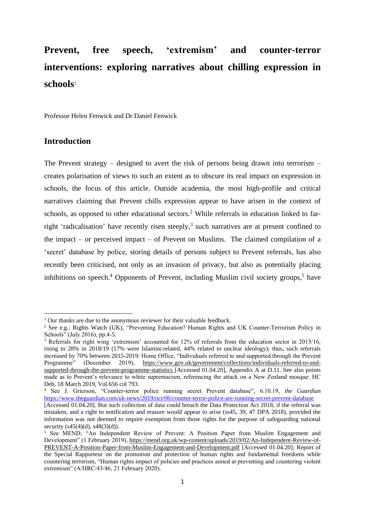# **Prevent, free speech, 'extremism' and counter-terror interventions: exploring narratives about chilling expression in schools**<sup>1</sup>

Professor Helen Fenwick and Dr Daniel Fenwick

### **Introduction**

<span id="page-0-1"></span>The Prevent strategy – designed to avert the risk of persons being drawn into terrorism – creates polarisation of views to such an extent as to obscure its real impact on expression in schools, the focus of this article. Outside academia, the most high-profile and critical narratives claiming that Prevent chills expression appear to have arisen in the context of schools, as opposed to other educational sectors.<sup>2</sup> While referrals in education linked to farright 'radicalisation' have recently risen steeply,<sup>3</sup> such narratives are at present confined to the impact – or perceived impact – of Prevent on Muslims. The claimed compilation of a 'secret' database by police, storing details of persons subject to Prevent referrals, has also recently been criticised, not only as an invasion of privacy, but also as potentially placing inhibitions on speech.<sup>4</sup> Opponents of Prevent, including Muslim civil society groups,<sup>5</sup> have

<span id="page-0-2"></span><span id="page-0-0"></span><sup>&</sup>lt;sup>1</sup> Our thanks are due to the anonymous reviewer for their valuable feedback.

<sup>2</sup> See e.g.: Rights Watch (UK), "Preventing Education? Human Rights and UK Counter-Terrorism Policy in Schools" (July 2016), pp.4-5.

<sup>&</sup>lt;sup>3</sup> Referrals for right wing 'extremism' accounted for 12% of referrals from the education sector in 2015/16, rising to 28% in 2018/19 (17% were Islamist-related, 44% related to unclear ideology); thus, such referrals increased by 70% between 2015-2019: Home Office, "Individuals referred to and supported through the Prevent Programme" (December 2019), https://www.gov.uk/government/collections/individuals-referred-to-andsupported-through-the-prevent-programme-statistics [Accessed 01.04.20], Appendix A at D.11. See also points made as to Prevent's relevance to white supremacism, referencing the attack on a New Zealand mosque: HC Deb, 18 March 2019, Vol.656 col 793.

<sup>4</sup> See J. Grierson, "Counter-terror police running secret Prevent database", 6.10.19, *the Guardian*  <https://www.theguardian.com/uk-news/2019/oct/06/counter-terror-police-are-running-secret-prevent-database>

<sup>[</sup>Accessed 01.04.20]. But such collection of data could breach the Data Protection Act 2018, if the referral was mistaken, and a right to notification and erasure would appear to arise (ss45, 39, 47 DPA 2018), provided the information was not deemed to require exemption from those rights for the purpose of safeguarding national security (s45(4)(d), s48(3)(d)).

<sup>5</sup> See MEND, "An Independent Review of Prevent: A Position Paper from Muslim Engagement and Development" (1 February 2019), [https://mend.org.uk/wp-content/uploads/2019/02/An-Independent-Review-of-](https://mend.org.uk/wp-content/uploads/2019/02/An-Independent-Review-of-PREVENT-A-Position-Paper-from-Muslim-Engagement-and-Development.pdf)[PREVENT-A-Position-Paper-from-Muslim-Engagement-and-Development.pdf](https://mend.org.uk/wp-content/uploads/2019/02/An-Independent-Review-of-PREVENT-A-Position-Paper-from-Muslim-Engagement-and-Development.pdf) [Accessed 01.04.20]; Report of the Special Rapporteur on the promotion and protection of human rights and fundamental freedoms while countering terrorism, "Human rights impact of policies and practices aimed at preventing and countering violent extremism" (A/HRC/43/46, 21 February 2020).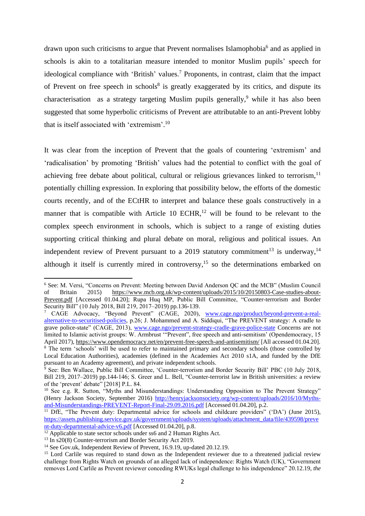<span id="page-1-3"></span><span id="page-1-1"></span>drawn upon such criticisms to argue that Prevent normalises Islamophobia<sup>6</sup> and as applied in schools is akin to a totalitarian measure intended to monitor Muslim pupils' speech for ideological compliance with 'British' values.<sup>7</sup> Proponents, in contrast, claim that the impact of Prevent on free speech in schools $8$  is greatly exaggerated by its critics, and dispute its characterisation as a strategy targeting Muslim pupils generally,<sup>9</sup> while it has also been suggested that some hyperbolic criticisms of Prevent are attributable to an anti-Prevent lobby that is itself associated with 'extremism'. 10

<span id="page-1-2"></span>It was clear from the inception of Prevent that the goals of countering 'extremism' and 'radicalisation' by promoting 'British' values had the potential to conflict with the goal of achieving free debate about political, cultural or religious grievances linked to terrorism,<sup>11</sup> potentially chilling expression. In exploring that possibility below, the efforts of the domestic courts recently, and of the ECtHR to interpret and balance these goals constructively in a manner that is compatible with Article 10 ECHR,<sup>12</sup> will be found to be relevant to the complex speech environment in schools, which is subject to a range of existing duties supporting critical thinking and plural debate on moral, religious and political issues. An independent review of Prevent pursuant to a 2019 statutory commitment<sup>13</sup> is underway,<sup>14</sup> although it itself is currently mired in controversy,<sup>15</sup> so the determinations embarked on

<span id="page-1-0"></span><sup>6</sup> See: M. Versi, "Concerns on Prevent: Meeting between David Anderson QC and the MCB" (Muslim Council of Britain 2015) [https://www.mcb.org.uk/wp-content/uploads/2015/10/20150803-Case-studies-about-](https://www.mcb.org.uk/wp-content/uploads/2015/10/20150803-Case-studies-about-Prevent.pdf)[Prevent.pdf](https://www.mcb.org.uk/wp-content/uploads/2015/10/20150803-Case-studies-about-Prevent.pdf) [Accessed 01.04.20]; Rupa Huq MP, Public Bill Committee, "Counter-terrorism and Border Security Bill" (10 July 2018, Bill 219, 2017–2019) pp.136-139.

<sup>&</sup>lt;sup>7</sup> CAGE Advocacy, "Beyond Prevent" (CAGE, 2020), [www.cage.ngo/product/beyond-prevent-a-real](http://www.cage.ngo/product/beyond-prevent-a-real-alternative-to-securitised-policies)[alternative-to-securitised-policies,](http://www.cage.ngo/product/beyond-prevent-a-real-alternative-to-securitised-policies) p.26; J. Mohammed and A. Siddiqui, "The PREVENT strategy: A cradle to grave police-state" (CAGE, 2013), [www.cage.ngo/prevent-strategy-cradle-grave-police-state](http://www.cage.ngo/prevent-strategy-cradle-grave-police-state) Concerns are not limited to Islamic activist groups: W. Armbrust "Prevent", free speech and anti-semitism' (Opendemocracy, 15 April 2017),<https://www.opendemocracy.net/en/prevent-free-speech-and-antisemitism/> [All accessed 01.04.20].

<sup>&</sup>lt;sup>8</sup> The term 'schools' will be used to refer to maintained primary and secondary schools (those controlled by Local Education Authorities), academies (defined in the Academies Act 2010 s1A, and funded by the DfE pursuant to an Academy agreement), and private independent schools.

<sup>9</sup> See: Ben Wallace, Public Bill Committee, 'Counter-terrorism and Border Security Bill' PBC (10 July 2018, Bill 219, 2017–2019) pp.144-146; S. Greer and L. Bell, "Counter-terrorist law in British universities: a review of the 'prevent' debate" [2018] P.L. 84.

<sup>&</sup>lt;sup>10</sup> See e.g. R. Sutton, "Myths and Misunderstandings: Understanding Opposition to The Prevent Strategy" (Henry Jackson Society, September 2016) [http://henryjacksonsociety.org/wp-content/uploads/2016/10/Myths](http://henryjacksonsociety.org/wp-content/uploads/2016/10/Myths-and-Misunderstandings-PREVENT-Report-Final-29.09.2016.pdf)[and-Misunderstandings-PREVENT-Report-Final-29.09.2016.pdf](http://henryjacksonsociety.org/wp-content/uploads/2016/10/Myths-and-Misunderstandings-PREVENT-Report-Final-29.09.2016.pdf) [Accessed 01.04.20], p.2.

<sup>&</sup>lt;sup>11</sup> DfE, "The Prevent duty: Departmental advice for schools and childcare providers" ('DA') (June 2015), [https://assets.publishing.service.gov.uk/government/uploads/system/uploads/attachment\\_data/file/439598/preve](https://assets.publishing.service.gov.uk/government/uploads/system/uploads/attachment_data/file/439598/prevent-duty-departmental-advice-v6.pdf) [nt-duty-departmental-advice-v6.pdf](https://assets.publishing.service.gov.uk/government/uploads/system/uploads/attachment_data/file/439598/prevent-duty-departmental-advice-v6.pdf) [Accessed 01.04.20], p.8.

 $\frac{12}{12}$  Applicable to state sector schools under ss6 and 2 Human Rights Act.

<sup>&</sup>lt;sup>13</sup> In s20(8) Counter-terrorism and Border Security Act 2019.

<sup>&</sup>lt;sup>14</sup> See Gov.uk, Independent Review of Prevent, 16.9.19, up-dated 20.12.19.

<sup>&</sup>lt;sup>15</sup> Lord Carlile was required to stand down as the Independent reviewer due to a threatened judicial review challenge from Rights Watch on grounds of an alleged lack of independence: Rights Watch (UK), "Government removes Lord Carlile as Prevent reviewer conceding RWUKs legal challenge to his independence" 20.12.19, *the*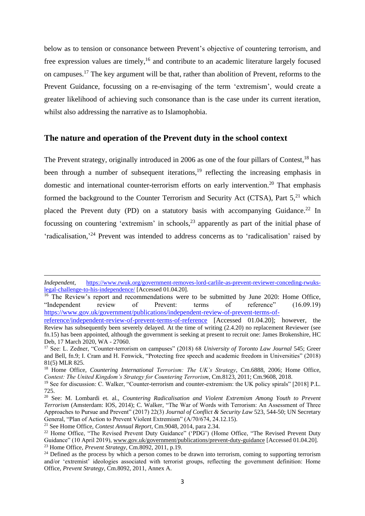<span id="page-2-1"></span>below as to tension or consonance between Prevent's objective of countering terrorism, and free expression values are timely,<sup>16</sup> and contribute to an academic literature largely focused on campuses.<sup>17</sup> The key argument will be that, rather than abolition of Prevent, reforms to the Prevent Guidance, focussing on a re-envisaging of the term 'extremism', would create a greater likelihood of achieving such consonance than is the case under its current iteration, whilst also addressing the narrative as to Islamophobia.

#### **The nature and operation of the Prevent duty in the school context**

<span id="page-2-3"></span><span id="page-2-2"></span><span id="page-2-0"></span>The Prevent strategy, originally introduced in 2006 as one of the four pillars of Contest,<sup>18</sup> has been through a number of subsequent iterations,<sup>19</sup> reflecting the increasing emphasis in domestic and international counter-terrorism efforts on early intervention.<sup>20</sup> That emphasis formed the background to the Counter Terrorism and Security Act (CTSA), Part 5.<sup>21</sup> which placed the Prevent duty (PD) on a statutory basis with accompanying Guidance.<sup>22</sup> In focussing on countering 'extremism' in schools,<sup>23</sup> apparently as part of the initial phase of 'radicalisation,<sup>'24</sup> Prevent was intended to address concerns as to 'radicalisation' raised by

<sup>16</sup> The Review's report and recommendations were to be submitted by June 2020: Home Office, "Independent review of Prevent: terms of reference" (16.09.19) [https://www.gov.uk/government/publications/independent-review-of-prevent-terms-of-](https://www.gov.uk/government/publications/independent-review-of-prevent-terms-of-reference/independent-review-of-prevent-terms-of-reference)

*Independent*, [https://www.rwuk.org/government-removes-lord-carlile-as-prevent-reviewer-conceding-rwuks](https://www.rwuk.org/government-removes-lord-carlile-as-prevent-reviewer-conceding-rwuks-legal-challenge-to-his-independence/)[legal-challenge-to-his-independence/](https://www.rwuk.org/government-removes-lord-carlile-as-prevent-reviewer-conceding-rwuks-legal-challenge-to-his-independence/) [Accessed 01.04.20].

[reference/independent-review-of-prevent-terms-of-reference](https://www.gov.uk/government/publications/independent-review-of-prevent-terms-of-reference/independent-review-of-prevent-terms-of-reference) [Accessed 01.04.20]; however, the Review has subsequently been severely delayed. At the time of writing (2.4.20) no replacement Reviewer (see fn[.15\)](#page-1-0) has been appointed, although the government is seeking at present to recruit one: James Brokenshire, HC Deb, 17 March 2020, WA - 27060.

<sup>17</sup> See: L. Zedner, "Counter-terrorism on campuses" (2018) 68 *University of Toronto Law Journal* 545; Greer and Bell, f[n.9;](#page-1-1) I. Cram and H. Fenwick, "Protecting free speech and academic freedom in Universities" (2018) 81(5) MLR 825.

<sup>18</sup> Home Office, *Countering International Terrorism: The UK's Strategy*, Cm.6888, 2006; Home Office, *Contest: The United Kingdom's Strategy for Countering Terrorism*, Cm.8123, 2011; Cm.9608, 2018.

<sup>19</sup> See for discussion: C. Walker, "Counter-terrorism and counter-extremism: the UK policy spirals" [2018] P.L. 725.

<sup>20</sup> See: M. Lombardi et. al., *Countering Radicalisation and Violent Extremism Among Youth to Prevent Terrorism* (Amsterdam: IOS, 2014); C. Walker, "The War of Words with Terrorism: An Assessment of Three Approaches to Pursue and Prevent" (2017) 22(3) *Journal of Conflict & Security Law* 523, 544-50; UN Secretary General, "Plan of Action to Prevent Violent Extremism" (A/70/674, 24.12.15).

<sup>21</sup> See Home Office, *Contest Annual Report*, Cm.9048, 2014, para 2.34.

<sup>&</sup>lt;sup>22</sup> Home Office, "The Revised Prevent Duty Guidance" ('PDG') (Home Office, "The Revised Prevent Duty Guidance" (10 April 2019), [www.gov.uk/government/publications/prevent-duty-guidance](http://www.gov.uk/government/publications/prevent-duty-guidance) [Accessed 01.04.20]. <sup>23</sup> Home Office, *Prevent Strategy*, Cm.8092, 2011, p.19.

<sup>&</sup>lt;sup>24</sup> Defined as the process by which a person comes to be drawn into terrorism, coming to supporting terrorism and/or 'extremist' ideologies associated with terrorist groups, reflecting the government definition: Home Office, *Prevent Strategy*, Cm.8092, 2011, Annex A.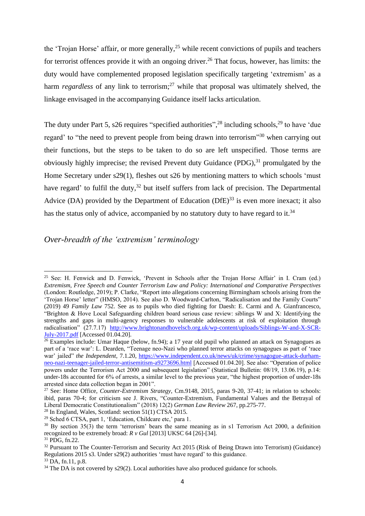<span id="page-3-0"></span>the 'Trojan Horse' affair, or more generally,<sup>25</sup> while recent convictions of pupils and teachers for terrorist offences provide it with an ongoing driver. <sup>26</sup> That focus, however, has limits: the duty would have complemented proposed legislation specifically targeting 'extremism' as a harm *regardless* of any link to terrorism; <sup>27</sup> while that proposal was ultimately shelved, the linkage envisaged in the accompanying Guidance itself lacks articulation.

<span id="page-3-1"></span>The duty under Part 5, s26 requires "specified authorities",  $^{28}$  including schools,  $^{29}$  to have 'due regard' to "the need to prevent people from being drawn into terrorism"<sup>30</sup> when carrying out their functions, but the steps to be taken to do so are left unspecified. Those terms are obviously highly imprecise; the revised Prevent duty Guidance (PDG),<sup>31</sup> promulgated by the Home Secretary under s29(1), fleshes out s26 by mentioning matters to which schools 'must have regard' to fulfil the duty,<sup>32</sup> but itself suffers from lack of precision. The Departmental Advice (DA) provided by the Department of Education  $(DfE)^{33}$  is even more inexact; it also has the status only of advice, accompanied by no statutory duty to have regard to it.<sup>34</sup>

#### *Over-breadth of the 'extremism' terminology*

<sup>25</sup> See: H. Fenwick and D. Fenwick, 'Prevent in Schools after the Trojan Horse Affair' in I. Cram (ed.) *Extremism, Free Speech and Counter Terrorism Law and Policy: International and Comparative Perspectives* (London: Routledge, 2019); P. Clarke, "Report into allegations concerning Birmingham schools arising from the 'Trojan Horse' letter" (HMSO, 2014). See also D. Woodward-Carlton, "Radicalisation and the Family Courts" (2019) 49 *Family Law* 752. See as to pupils who died fighting for Daesh: E. Carmi and A. Gianfrancesco, "Brighton & Hove Local Safeguarding children board serious case review: siblings W and X: Identifying the strengths and gaps in multi-agency responses to vulnerable adolescents at risk of exploitation through radicalisation" (27.7.17) [http://www.brightonandhovelscb.org.uk/wp-content/uploads/Siblings-W-and-X-SCR-](http://www.brightonandhovelscb.org.uk/wp-content/uploads/Siblings-W-and-X-SCR-July-2017.pdf)[July-2017.pdf](http://www.brightonandhovelscb.org.uk/wp-content/uploads/Siblings-W-and-X-SCR-July-2017.pdf) [Accessed 01.04.20].

<sup>&</sup>lt;sup>26</sup> Examples include: Umar Haque (below, fn[.94\)](#page-11-0); a 17 year old pupil who planned an attack on Synagogues as part of a 'race war': L. Dearden, "Teenage neo-Nazi who planned terror attacks on synagogues as part of 'race war' jailed" *the Independent,* 7.1.20, [https://www.independent.co.uk/news/uk/crime/synagogue-attack-durham](https://www.independent.co.uk/news/uk/crime/synagogue-attack-durham-neo-nazi-teenager-jailed-terror-antisemitism-a9273696.html)[neo-nazi-teenager-jailed-terror-antisemitism-a9273696.html](https://www.independent.co.uk/news/uk/crime/synagogue-attack-durham-neo-nazi-teenager-jailed-terror-antisemitism-a9273696.html) [Accessed 01.04.20]. See also: "Operation of police powers under the Terrorism Act 2000 and subsequent legislation" (Statistical Bulletin: 08/19, 13.06.19), p.14: under-18s accounted for 6% of arrests, a similar level to the previous year, "the highest proportion of under-18s arrested since data collection began in 2001".

<sup>27</sup> See: Home Office, *Counter-Extremism Strategy*, Cm.9148, 2015, paras 9-20, 37-41; in relation to schools: ibid, paras 70-4; for criticism see J. Rivers, "Counter-Extremism, Fundamental Values and the Betrayal of Liberal Democratic Constitutionalism" (2018) 12(2) *German Law Review* 267, pp.275-77.

<sup>&</sup>lt;sup>28</sup> In England, Wales, Scotland: section  $51(1)$  CTSA 2015.

<sup>29</sup> Sched 6 CTSA, part 1, 'Education, Childcare etc,' para 1.

 $30$  By section 35(3) the term 'terrorism' bears the same meaning as in s1 Terrorism Act 2000, a definition recognized to be extremely broad: *R v Gul* [2013] UKSC 64 [26]-[34].

 $31$  PDG, fn[.22.](#page-2-0)

<sup>32</sup> Pursuant to The Counter-Terrorism and Security Act 2015 (Risk of Being Drawn into Terrorism) (Guidance) Regulations 2015 s3. Under s29(2) authorities 'must have regard' to this guidance.

 $33$  DA, fn[.11,](#page-1-2) p.8.

 $34$  The DA is not covered by s29(2). Local authorities have also produced guidance for schools.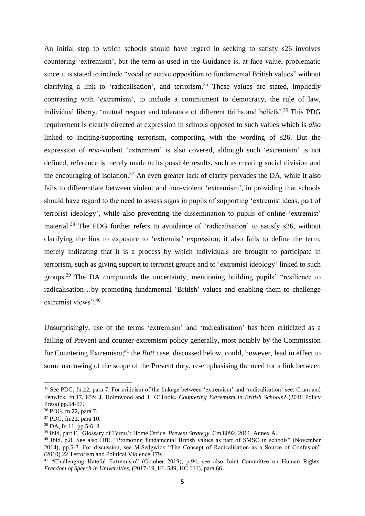An initial step to which schools should have regard in seeking to satisfy s26 involves countering 'extremism', but the term as used in the Guidance is, at face value, problematic since it is stated to include "vocal or active opposition to fundamental British values" without clarifying a link to 'radicalisation', and terrorism.<sup>35</sup> These values are stated, impliedly contrasting with 'extremism', to include a commitment to democracy, the rule of law, individual liberty, 'mutual respect and tolerance of different faiths and beliefs'. <sup>36</sup> This PDG requirement is clearly directed at expression in schools opposed to such values which is *also* linked to inciting/supporting terrorism, comporting with the wording of s26. But the expression of *non*-violent 'extremism' is also covered, although such 'extremism' is not defined; reference is merely made to its possible results, such as creating social division and the encouraging of isolation.<sup>37</sup> An even greater lack of clarity pervades the DA, while it also fails to differentiate between violent and non-violent 'extremism', in providing that schools should have regard to the need to assess signs in pupils of supporting 'extremist ideas, part of terrorist ideology', while also preventing the dissemination to pupils of online 'extremist' material.<sup>38</sup> The PDG further refers to avoidance of 'radicalisation' to satisfy s26, without clarifying the link to exposure to 'extremist' expression; it also fails to define the term, merely indicating that it is a process by which individuals are brought to participate in terrorism, such as giving support to terrorist groups and to 'extremist ideology' linked to such groups.<sup>39</sup> The DA compounds the uncertainty, mentioning building pupils' "resilience to radicalisation…by promoting fundamental 'British' values and enabling them to challenge extremist views".<sup>40</sup>

<span id="page-4-0"></span>Unsurprisingly, use of the terms 'extremism' and 'radicalisation' has been criticized as a failing of Prevent and counter-extremism policy generally, most notably by the Commission for Countering Extremism;<sup>41</sup> the *Butt* case, discussed below, could, however, lead in effect to some narrowing of the scope of the Prevent duty, re-emphasising the need for a link between

<sup>35</sup> See PDG, fn.[22](#page-2-0), para 7. For criticism of the linkage between 'extremism' and 'radicalisation' see: Cram and Fenwick, f[n.17,](#page-2-1) 835; J. Holmwood and T. O'Toole, *Countering Extremism in British Schools?* (2018 Policy Press) pp.54-57.

<sup>36</sup> PDG, fn.[22](#page-2-0), para 7.

<sup>37</sup> PDG, fn.[22](#page-2-0), para 10.

<sup>38</sup> DA, fn[.11,](#page-1-2) pp.5-6, 8.

<sup>39</sup> Ibid, part F, 'Glossary of Terms'; Home Office, *Prevent Strategy*, Cm.8092, 2011, Annex A.

<sup>40</sup> Ibid, p.8. See also DfE, "Promoting fundamental British values as part of SMSC in schools" (November 2014), pp.5-7. For discussion, see M.Sedgwick "The Concept of Radicalisation as a Source of Confusion" (2010) 22 Terrorism and Political Violence 479.

<sup>&</sup>lt;sup>41</sup> "Challenging Hateful Extremism" (October 2019), p.94; see also Joint Committee on Human Rights, *Freedom of Speech in Universities*, (2017-19, HL 589, HC 111), para 66.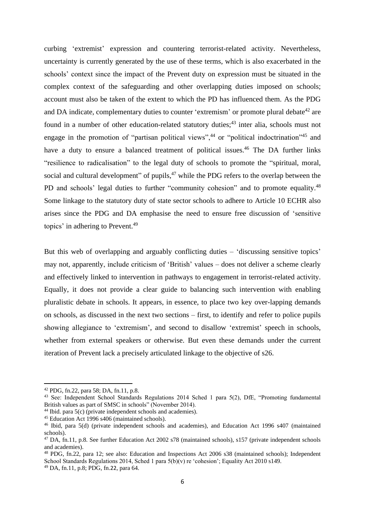<span id="page-5-0"></span>curbing 'extremist' expression and countering terrorist-related activity. Nevertheless, uncertainty is currently generated by the use of these terms, which is also exacerbated in the schools' context since the impact of the Prevent duty on expression must be situated in the complex context of the safeguarding and other overlapping duties imposed on schools; account must also be taken of the extent to which the PD has influenced them. As the PDG and DA indicate, complementary duties to counter 'extremism' or promote plural debate<sup>42</sup> are found in a number of other education-related statutory duties;<sup>43</sup> inter alia, schools must not engage in the promotion of "partisan political views",<sup>44</sup> or "political indoctrination"<sup>45</sup> and have a duty to ensure a balanced treatment of political issues.<sup>46</sup> The DA further links "resilience to radicalisation" to the legal duty of schools to promote the "spiritual, moral, social and cultural development" of pupils,<sup>47</sup> while the PDG refers to the overlap between the PD and schools' legal duties to further "community cohesion" and to promote equality.<sup>48</sup> Some linkage to the statutory duty of state sector schools to adhere to Article 10 ECHR also arises since the PDG and DA emphasise the need to ensure free discussion of 'sensitive topics' in adhering to Prevent. 49

<span id="page-5-1"></span>But this web of overlapping and arguably conflicting duties – 'discussing sensitive topics' may not, apparently, include criticism of 'British' values – does not deliver a scheme clearly and effectively linked to intervention in pathways to engagement in terrorist-related activity. Equally, it does not provide a clear guide to balancing such intervention with enabling pluralistic debate in schools. It appears, in essence, to place two key over-lapping demands on schools, as discussed in the next two sections – first, to identify and refer to police pupils showing allegiance to 'extremism', and second to disallow 'extremist' speech in schools, whether from external speakers or otherwise. But even these demands under the current iteration of Prevent lack a precisely articulated linkage to the objective of s26.

<sup>42</sup> PDG, fn[.22,](#page-2-0) para 58; DA, fn[.11,](#page-1-2) p.8.

<sup>&</sup>lt;sup>43</sup> See: Independent School Standards Regulations 2014 Sched 1 para 5(2), DfE, "Promoting fundamental British values as part of SMSC in schools" (November 2014).

 $44$  Ibid. para  $5(c)$  (private independent schools and academies).

<sup>45</sup> Education Act 1996 s406 (maintained schools).

<sup>46</sup> Ibid, para 5(d) (private independent schools and academies), and Education Act 1996 s407 (maintained schools).

<sup>47</sup> DA, fn[.11,](#page-1-2) p.8. See further Education Act 2002 s78 (maintained schools), s157 (private independent schools and academies).

<sup>48</sup> PDG, fn[.22,](#page-2-0) para 12; see also: Education and Inspections Act 2006 s38 (maintained schools); Independent School Standards Regulations 2014, Sched 1 para 5(b)(v) re 'cohesion'; Equality Act 2010 s149.

<sup>49</sup> DA, fn[.11,](#page-1-2) p.8; PDG, fn.[22](#page-2-0), para 64.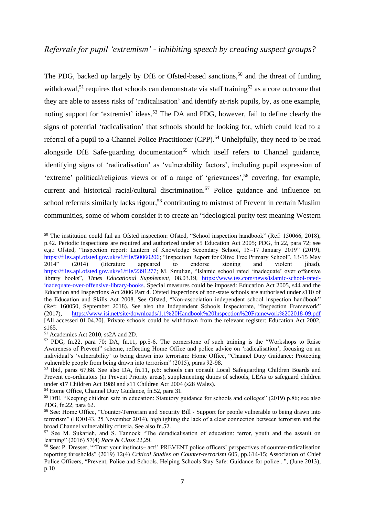<span id="page-6-2"></span><span id="page-6-1"></span><span id="page-6-0"></span>The PDG, backed up largely by DfE or Ofsted-based sanctions,<sup>50</sup> and the threat of funding withdrawal,<sup>51</sup> requires that schools can demonstrate via staff training<sup>52</sup> as a core outcome that they are able to assess risks of 'radicalisation' and identify at-risk pupils, by, as one example, noting support for 'extremist' ideas.<sup>53</sup> The DA and PDG, however, fail to define clearly the signs of potential 'radicalisation' that schools should be looking for, which could lead to a referral of a pupil to a Channel Police Practitioner (CPP).<sup>54</sup> Unhelpfully, they need to be read alongside DfE Safe-guarding documentation<sup>55</sup> which itself refers to Channel guidance, identifying signs of 'radicalisation' as 'vulnerability factors', including pupil expression of 'extreme' political/religious views or of a range of 'grievances',<sup>56</sup> covering, for example, current and historical racial/cultural discrimination.<sup>57</sup> Police guidance and influence on school referrals similarly lacks rigour,<sup>58</sup> contributing to mistrust of Prevent in certain Muslim communities, some of whom consider it to create an "ideological purity test meaning Western

<sup>50</sup> The institution could fail an Ofsted inspection: Ofsted, "School inspection handbook" (Ref: 150066, 2018), p.42. Periodic inspections are required and authorized under s5 Education Act 2005; PDG, fn[.22,](#page-2-0) para 72; see e.g.: Ofsted, "Inspection report: Lantern of Knowledge Secondary School, 15–17 January 2019" (2019), [https://files.api.ofsted.gov.uk/v1/file/50060206;](https://files.api.ofsted.gov.uk/v1/file/50060206) "Inspection Report for Olive Tree Primary School", 13-15 May 2014" (2014) (literature appeared to endorse stoning and violent jihad), [https://files.api.ofsted.gov.uk/v1/file/2391277;](https://files.api.ofsted.gov.uk/v1/file/2391277M) M. Smulian, "Islamic school rated 'inadequate' over offensive library books", *Times Educational Supplement,* 08.03.19, [https://www.tes.com/news/islamic-school-rated](https://www.tes.com/news/islamic-school-rated-inadequate-over-offensive-library-books)[inadequate-over-offensive-library-books.](https://www.tes.com/news/islamic-school-rated-inadequate-over-offensive-library-books) Special measures could be imposed: Education Act 2005, s44 and the Education and Inspections Act 2006 Part 4. Ofsted inspections of non-state schools are authorised under s110 of the Education and Skills Act 2008. See Ofsted, "Non-association independent school inspection handbook" (Ref: 160050, September 2018). See also the Independent Schools Inspectorate, "Inspection Framework" (2017), <https://www.isi.net/site/downloads/1.1%20Handbook%20Inspection%20Framework%202018-09.pdf> [All accessed 01.04.20]. Private schools could be withdrawn from the relevant register: Education Act 2002, s165.

<sup>51</sup> Academies Act 2010, ss2A and 2D.

<sup>52</sup> PDG, fn[.22,](#page-2-0) para 70; DA, fn[.11,](#page-1-2) pp.5-6. The cornerstone of such training is the "Workshops to Raise Awareness of Prevent" scheme, reflecting Home Office and police advice on 'radicalisation', focusing on an individual's 'vulnerability' to being drawn into terrorism: Home Office, "Channel Duty Guidance: Protecting vulnerable people from being drawn into terrorism" (2015), paras 92-98.

<sup>53</sup> Ibid, paras 67,68. See also DA, fn[.11,](#page-1-2) p.6: schools can consult Local Safeguarding Children Boards and Prevent co-ordinators (in Prevent Priority areas), supplementing duties of schools, LEAs to safeguard children under s17 Children Act 1989 and s11 Children Act 2004 (s28 Wales).

<sup>54</sup> Home Office, Channel Duty Guidance, fn[.52,](#page-6-0) para 31.

<sup>55</sup> DfE, "Keeping children safe in education: Statutory guidance for schools and colleges" (2019) p.86; see also PDG, fn[.22,](#page-2-0) para 62.

<sup>&</sup>lt;sup>56</sup> See: Home Office, "Counter-Terrorism and Security Bill - Support for people vulnerable to being drawn into terrorism" (HO0143, 25 November 2014), highlighting the lack of a clear connection between terrorism and the broad Channel vulnerability criteria. See also fn[.52.](#page-6-0)

<sup>57</sup> See M. Sukarieh, and S. Tannock "The deradicalisation of education: terror, youth and the assault on learning" (2016) 57(4) *Race & Class* 22,29.

<sup>58</sup> See: P. Dresser, "'Trust your instincts– act!' PREVENT police officers' perspectives of counter-radicalisation reporting thresholds" (2019) 12(4) *Critical Studies on Counter-terrorism* 605, pp.614-15; Association of Chief Police Officers, "Prevent, Police and Schools. Helping Schools Stay Safe: Guidance for police...", (June 2013), p.10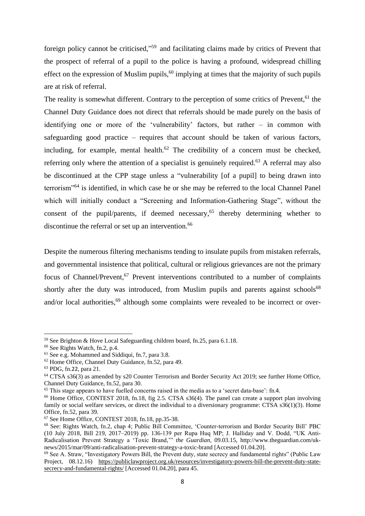foreign policy cannot be criticised,"<sup>59</sup> and facilitating claims made by critics of Prevent that the prospect of referral of a pupil to the police is having a profound, widespread chilling effect on the expression of Muslim pupils,  $60$  implying at times that the majority of such pupils are at risk of referral.

The reality is somewhat different. Contrary to the perception of some critics of Prevent.<sup>61</sup> the Channel Duty Guidance does not direct that referrals should be made purely on the basis of identifying one or more of the 'vulnerability' factors, but rather – in common with safeguarding good practice – requires that account should be taken of various factors, including, for example, mental health.<sup>62</sup> The credibility of a concern must be checked, referring only where the attention of a specialist is genuinely required.<sup>63</sup> A referral may also be discontinued at the CPP stage unless a "vulnerability [of a pupil] to being drawn into terrorism"<sup>64</sup> is identified, in which case he or she may be referred to the local Channel Panel which will initially conduct a "Screening and Information-Gathering Stage", without the consent of the pupil/parents, if deemed necessary, <sup>65</sup> thereby determining whether to discontinue the referral or set up an intervention.<sup>66</sup>

Despite the numerous filtering mechanisms tending to insulate pupils from mistaken referrals, and governmental insistence that political, cultural or religious grievances are not the primary focus of Channel/Prevent,<sup>67</sup> Prevent interventions contributed to a number of complaints shortly after the duty was introduced, from Muslim pupils and parents against schools<sup>68</sup> and/or local authorities,<sup>69</sup> although some complaints were revealed to be incorrect or over-

<sup>59</sup> See Brighton & Hove Local Safeguarding children board, fn[.25,](#page-3-0) para 6.1.18.

<sup>60</sup> See Rights Watch, fn.2, p.4.

<sup>61</sup> See e.g. Mohammed and Siddiqui, fn[.7,](#page-1-3) para 3.8.

<sup>62</sup> Home Office, Channel Duty Guidance, fn[.52,](#page-6-0) para 49.

<sup>63</sup> PDG, fn.[22](#page-2-0), para 21.

<sup>64</sup> CTSA s36(3) as amended by s20 Counter Terrorism and Border Security Act 2019; see further Home Office, Channel Duty Guidance, fn[.52,](#page-6-0) para 30.

<sup>65</sup> This stage appears to have fuelled concerns raised in the media as to a 'secret data-base': fn.[4](#page-0-0).

<sup>&</sup>lt;sup>66</sup> Home Office, CONTEST 2018, fn[.18,](#page-2-2) fig 2.5. CTSA s36(4). The panel can create a support plan involving family or social welfare services, or direct the individual to a diversionary programme: CTSA s36(1)(3). Home Office, fn[.52,](#page-6-0) para 39.

<sup>67</sup> See Home Office, CONTEST 2018, f[n.18,](#page-2-2) pp.35-38.

<sup>68</sup> See: Rights Watch, fn.2, chap 4; Public Bill Committee, 'Counter-terrorism and Border Security Bill' PBC (10 July 2018, Bill 219, 2017–2019) pp. 136-139 per Rupa Huq MP; J. Halliday and V. Dodd, "UK Anti-Radicalisation Prevent Strategy a 'Toxic Brand,'" *the Guardian*, 09.03.15, http://www.theguardian.com/uknews/2015/mar/09/anti-radicalisation-prevent-strategy-a-toxic-brand [Accessed 01.04.20].

<sup>69</sup> See A. Straw, "Investigatory Powers Bill, the Prevent duty, state secrecy and fundamental rights" (Public Law Project, 08.12.16) [https://publiclawproject.org.uk/resources/investigatory-powers-bill-the-prevent-duty-state](https://publiclawproject.org.uk/resources/investigatory-powers-bill-the-prevent-duty-state-secrecy-and-fundamental-rights/)[secrecy-and-fundamental-rights/](https://publiclawproject.org.uk/resources/investigatory-powers-bill-the-prevent-duty-state-secrecy-and-fundamental-rights/) [Accessed 01.04.20], para 45.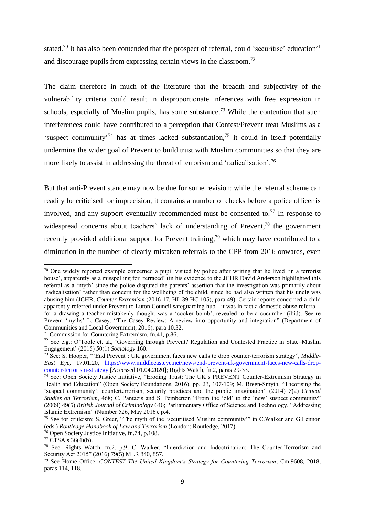<span id="page-8-1"></span>stated.<sup>70</sup> It has also been contended that the prospect of referral, could 'securitise' education<sup>71</sup> and discourage pupils from expressing certain views in the classroom. 72

<span id="page-8-0"></span>The claim therefore in much of the literature that the breadth and subjectivity of the vulnerability criteria could result in disproportionate inferences with free expression in schools, especially of Muslim pupils, has some substance.<sup>73</sup> While the contention that such interferences could have contributed to a perception that Contest/Prevent treat Muslims as a 'suspect community<sup>-74</sup> has at times lacked substantiation,<sup>75</sup> it could in itself potentially undermine the wider goal of Prevent to build trust with Muslim communities so that they are more likely to assist in addressing the threat of terrorism and 'radicalisation'.<sup>76</sup>

But that anti-Prevent stance may now be due for some revision: while the referral scheme can readily be criticised for imprecision, it contains a number of checks before a police officer is involved, and any support eventually recommended must be consented to.<sup>77</sup> In response to widespread concerns about teachers' lack of understanding of Prevent,<sup>78</sup> the government recently provided additional support for Prevent training,<sup>79</sup> which may have contributed to a diminution in the number of clearly mistaken referrals to the CPP from 2016 onwards, even

<sup>&</sup>lt;sup>70</sup> One widely reported example concerned a pupil visited by police after writing that he lived 'in a terrorist house', apparently as a misspelling for 'terraced' (in his evidence to the JCHR David Anderson highlighted this referral as a 'myth' since the police disputed the parents' assertion that the investigation was primarily about 'radicalisation' rather than concern for the wellbeing of the child, since he had also written that his uncle was abusing him (JCHR, *Counter Extremism* (2016-17, HL 39 HC 105), para 49). Certain reports concerned a child apparently referred under Prevent to Luton Council safeguarding hub - it was in fact a domestic abuse referral for a drawing a teacher mistakenly thought was a 'cooker bomb', revealed to be a cucumber (ibid). See re Prevent 'myths' L. Casey, "The Casey Review: A review into opportunity and integration" (Department of Communities and Local Government, 2016), para 10.32.

<sup>71</sup> Commission for Countering Extremism, fn[.41,](#page-4-0) p.86.

<sup>72</sup> See e.g.: O'Toole et. al., 'Governing through Prevent? Regulation and Contested Practice in State–Muslim Engagement' (2015) 50(1) *Sociology* 160.

<sup>73</sup> See: S. Hooper, "'End Prevent': UK government faces new calls to drop counter-terrorism strategy", *Middle-East Eye*, 17.01.20, [https://www.middleeasteye.net/news/end-prevent-uk-government-faces-new-calls-drop](https://www.middleeasteye.net/news/end-prevent-uk-government-faces-new-calls-drop-counter-terrorism-strategy)[counter-terrorism-strategy](https://www.middleeasteye.net/news/end-prevent-uk-government-faces-new-calls-drop-counter-terrorism-strategy) [Accessed 01.04.2020]; Rights Watch, fn.2, paras 29-33.

<sup>74</sup> See: Open Society Justice Initiative, "Eroding Trust: The UK's PREVENT Counter-Extremism Strategy in Health and Education" (Open Society Foundations, 2016), pp. 23, 107-109; M. Breen-Smyth, "Theorising the 'suspect community': counterterrorism, security practices and the public imagination" (2014) *7*(2) *Critical Studies on Terrorism*, 468; C. Pantazis and S. Pemberton "From the 'old' to the 'new' suspect community" (2009) 49(5) *British Journal of Criminology* 646; Parliamentary Office of Science and Technology, "Addressing Islamic Extremism" (Number 526, May 2016), p.4.

<sup>&</sup>lt;sup>75</sup> See for criticism: S. Greer, "The myth of the 'securitised Muslim community'" in C.Walker and G.Lennon (eds.) *Routledge Handbook of Law and Terrorism* (London: Routledge, 2017).

<sup>76</sup> Open Society Justice Initiative, fn[.74,](#page-8-0) p.108.

 $77 \overline{\text{CTSA}}$  s 36(4)(b).

<sup>78</sup> See: Rights Watch, fn.2, p.9; C. Walker, "Interdiction and Indoctrination: The Counter-Terrorism and Security Act 2015" (2016) 79(5) MLR 840, 857.

<sup>79</sup> See Home Office, *CONTEST The United Kingdom's Strategy for Countering Terrorism*, Cm.9608, 2018, paras 114, 118.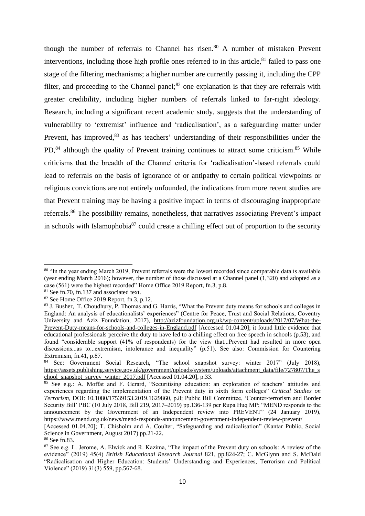<span id="page-9-2"></span><span id="page-9-0"></span>though the number of referrals to Channel has risen. <sup>80</sup> A number of mistaken Prevent interventions, including those high profile ones referred to in this article, $81$  failed to pass one stage of the filtering mechanisms; a higher number are currently passing it, including the CPP filter, and proceeding to the Channel panel; $82$  one explanation is that they are referrals with greater credibility, including higher numbers of referrals linked to far-right ideology. Research, including a significant recent academic study, suggests that the understanding of vulnerability to 'extremist' influence and 'radicalisation', as a safeguarding matter under Prevent, has improved,<sup>83</sup> as has teachers' understanding of their responsibilities under the PD,<sup>84</sup> although the quality of Prevent training continues to attract some criticism.<sup>85</sup> While criticisms that the breadth of the Channel criteria for 'radicalisation'-based referrals could lead to referrals on the basis of ignorance of or antipathy to certain political viewpoints or religious convictions are not entirely unfounded, the indications from more recent studies are that Prevent training may be having a positive impact in terms of discouraging inappropriate referrals.<sup>86</sup> The possibility remains, nonetheless, that narratives associating Prevent's impact in schools with Islamophobia $^{87}$  could create a chilling effect out of proportion to the security

<span id="page-9-1"></span><sup>&</sup>lt;sup>80</sup> "In the year ending March 2019, Prevent referrals were the lowest recorded since comparable data is available (year ending March 2016); however, the number of those discussed at a Channel panel (1,320) and adopted as a case (561) were the highest recorded" Home Office 2019 Report, fn[.3,](#page-0-1) p.8.

 $81$  See fn. 70, fn. 137 and associated text.

 $82$  See Home Office 2019 Report, fn[.3,](#page-0-1) p.12.

<sup>83</sup> J. Busher, T. Choudhury, P. Thomas and G. Harris, "What the Prevent duty means for schools and colleges in England: An analysis of educationalists' experiences" (Centre for Peace, Trust and Social Relations, Coventry University and Aziz Foundation, 2017), [http://azizfoundation.org.uk/wp-content/uploads/2017/07/What-the-](http://azizfoundation.org.uk/wp-content/uploads/2017/07/What-the-Prevent-Duty-means-for-schools-and-colleges-in-England.pdf)[Prevent-Duty-means-for-schools-and-colleges-in-England.pdf](http://azizfoundation.org.uk/wp-content/uploads/2017/07/What-the-Prevent-Duty-means-for-schools-and-colleges-in-England.pdf) [Accessed 01.04.20]; it found little evidence that educational professionals perceive the duty to have led to a chilling effect on free speech in schools (p.53), and found "considerable support (41% of respondents) for the view that...Prevent had resulted in more open discussions...as to...extremism, intolerance and inequality" (p.51). See also: Commission for Countering Extremism, f[n.41,](#page-4-0) p.87.

<sup>84</sup> See: Government Social Research, "The school snapshot survey: winter 2017" (July 2018), [https://assets.publishing.service.gov.uk/government/uploads/system/uploads/attachment\\_data/file/727807/The\\_s](https://assets.publishing.service.gov.uk/government/uploads/system/uploads/attachment_data/file/727807/The_school_snapshot_survey_winter_2017.pdf) [chool\\_snapshot\\_survey\\_winter\\_2017.pdf](https://assets.publishing.service.gov.uk/government/uploads/system/uploads/attachment_data/file/727807/The_school_snapshot_survey_winter_2017.pdf) [Accessed 01.04.20], p.33.

<sup>85</sup> See e.g.: A. Moffat and F. Gerard, "Securitising education: an exploration of teachers' attitudes and experiences regarding the implementation of the Prevent duty in sixth form colleges" *Critical Studies on Terrorism*, DOI: 10.1080/17539153.2019.1629860, p.8; Public Bill Committee, 'Counter-terrorism and Border Security Bill' PBC (10 July 2018, Bill 219, 2017–2019) pp.136-139 per Rupa Huq MP; "MEND responds to the announcement by the Government of an Independent review into PREVENT" (24 January 2019), <https://www.mend.org.uk/news/mend-responds-announcement-government-independent-review-prevent/>

<sup>[</sup>Accessed 01.04.20]; T. Chisholm and A. Coulter, "Safeguarding and radicalisation" (Kantar Public, Social Science in Government, August 2017) pp.21-22.

<sup>86</sup> See fn[.83.](#page-9-0)

<sup>&</sup>lt;sup>87</sup> See e.g. L. Jerome, A. Elwick and R. Kazima, "The impact of the Prevent duty on schools: A review of the evidence" (2019) 45(4) *British Educational Research Journal* 821, pp.824-27; C. McGlynn and S. McDaid "Radicalisation and Higher Education: Students' Understanding and Experiences, Terrorism and Political Violence" (2019) 31(3) 559, pp.567-68.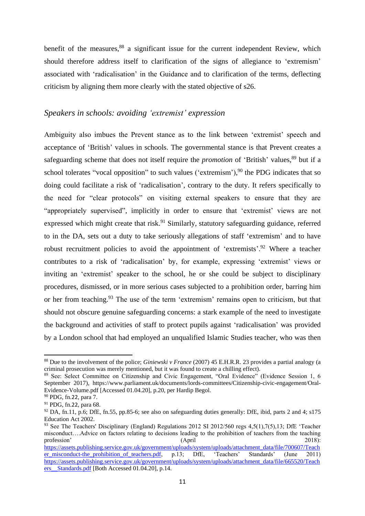benefit of the measures, $88$  a significant issue for the current independent Review, which should therefore address itself to clarification of the signs of allegiance to 'extremism' associated with 'radicalisation' in the Guidance and to clarification of the terms, deflecting criticism by aligning them more clearly with the stated objective of s26.

#### *Speakers in schools: avoiding 'extremist' expression*

Ambiguity also imbues the Prevent stance as to the link between 'extremist' speech and acceptance of 'British' values in schools. The governmental stance is that Prevent creates a safeguarding scheme that does not itself require the *promotion* of 'British' values, <sup>89</sup> but if a school tolerates "vocal opposition" to such values ('extremism'),<sup>90</sup> the PDG indicates that so doing could facilitate a risk of 'radicalisation', contrary to the duty. It refers specifically to the need for "clear protocols" on visiting external speakers to ensure that they are "appropriately supervised", implicitly in order to ensure that 'extremist' views are not expressed which might create that risk.<sup>91</sup> Similarly, statutory safeguarding guidance, referred to in the DA, sets out a duty to take seriously allegations of staff 'extremism' and to have robust recruitment policies to avoid the appointment of 'extremists'.<sup>92</sup> Where a teacher contributes to a risk of 'radicalisation' by, for example, expressing 'extremist' views or inviting an 'extremist' speaker to the school, he or she could be subject to disciplinary procedures, dismissed, or in more serious cases subjected to a prohibition order, barring him or her from teaching.<sup>93</sup> The use of the term 'extremism' remains open to criticism, but that should not obscure genuine safeguarding concerns: a stark example of the need to investigate the background and activities of staff to protect pupils against 'radicalisation' was provided by a London school that had employed an unqualified Islamic Studies teacher, who was then

<span id="page-10-0"></span><sup>88</sup> Due to the involvement of the police; *Giniewski v France* (2007) 45 E.H.R.R. 23 provides a partial analogy (a criminal prosecution was merely mentioned, but it was found to create a chilling effect).

<sup>&</sup>lt;sup>89</sup> See: Select Committee on Citizenship and Civic Engagement, "Oral Evidence" (Evidence Session 1, 6 September 2017), https://www.parliament.uk/documents/lords-committees/Citizenship-civic-engagement/Oral-Evidence-Volume.pdf [Accessed 01.04.20], p.20, per Hardip Begol.

<sup>90</sup> PDG, fn.[22](#page-2-0), para 7.

<sup>91</sup> PDG, fn.[22](#page-2-0), para 68.

 $92$  DA, fn[.11,](#page-1-2) p.6; DfE, fn[.55,](#page-6-1) pp.85-6; see also on safeguarding duties generally: DfE, ibid, parts 2 and 4; s175 Education Act 2002.

<sup>93</sup> See The Teachers' Disciplinary (England) Regulations 2012 SI 2012/560 regs 4,5(1),7(5),13; DfE 'Teacher misconduct….Advice on factors relating to decisions leading to the prohibition of teachers from the teaching profession' (April 2018): [https://assets.publishing.service.gov.uk/government/uploads/system/uploads/attachment\\_data/file/700607/Teach](https://assets.publishing.service.gov.uk/government/uploads/system/uploads/attachment_data/file/700607/Teacher_misconduct-the_prohibition_of_teachers.pdf) [er\\_misconduct-the\\_prohibition\\_of\\_teachers.pdf,](https://assets.publishing.service.gov.uk/government/uploads/system/uploads/attachment_data/file/700607/Teacher_misconduct-the_prohibition_of_teachers.pdf) p.13; DfE, 'Teachers' Standards' (June 2011) [https://assets.publishing.service.gov.uk/government/uploads/system/uploads/attachment\\_data/file/665520/Teach](https://assets.publishing.service.gov.uk/government/uploads/system/uploads/attachment_data/file/665520/Teachers__Standards.pdf)

ers Standards.pdf [Both Accessed 01.04.20], p.14.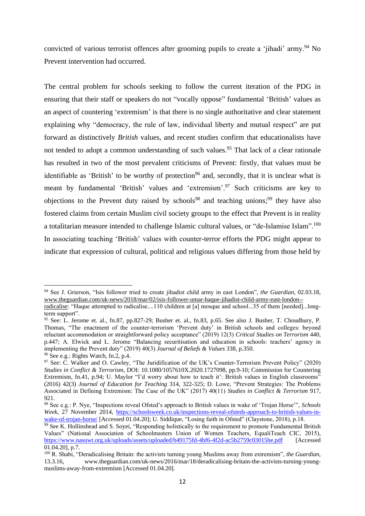<span id="page-11-0"></span>convicted of various terrorist offences after grooming pupils to create a 'jihadi' army.<sup>94</sup> No Prevent intervention had occurred.

<span id="page-11-2"></span>The central problem for schools seeking to follow the current iteration of the PDG in ensuring that their staff or speakers do not "vocally oppose" fundamental 'British' values as an aspect of countering 'extremism' is that there is no single authoritative and clear statement explaining why "democracy, the rule of law, individual liberty and mutual respect" are put forward as distinctively *British* values, and recent studies confirm that educationalists have not tended to adopt a common understanding of such values.<sup>95</sup> That lack of a clear rationale has resulted in two of the most prevalent criticisms of Prevent: firstly, that values must be identifiable as 'British' to be worthy of protection<sup>96</sup> and, secondly, that it is unclear what is meant by fundamental 'British' values and 'extremism'.<sup>97</sup> Such criticisms are key to objections to the Prevent duty raised by schools<sup>98</sup> and teaching unions;<sup>99</sup> they have also fostered claims from certain Muslim civil society groups to the effect that Prevent is in reality a totalitarian measure intended to challenge Islamic cultural values, or "de-Islamise Islam".<sup>100</sup> In associating teaching 'British' values with counter-terror efforts the PDG might appear to indicate that expression of cultural, political and religious values differing from those held by

<span id="page-11-3"></span><span id="page-11-1"></span><sup>94</sup> See J. Grierson, "Isis follower tried to create jihadist child army in east London", *the Guardian*, 02.03.18, [www.theguardian.com/uk-news/2018/mar/02/isis-follower-umar-haque-jihadist-child-army-east-london-](http://www.theguardian.com/uk-news/2018/mar/02/isis-follower-umar-haque-jihadist-child-army-east-london--radicalise) [radicalise:](http://www.theguardian.com/uk-news/2018/mar/02/isis-follower-umar-haque-jihadist-child-army-east-london--radicalise) "Haque attempted to radicalise....110 children at [a] mosque and school...35 of them [needed]...long-

term support".

<sup>95</sup> See: L. Jerome et. al., fn[.87,](#page-9-1) pp.827-29; Busher et. al., fn[.83,](#page-9-0) p.65. See also J. Busher, T. Choudhury, P. Thomas, "The enactment of the counter-terrorism 'Prevent duty' in British schools and colleges: beyond reluctant accommodation or straightforward policy acceptance" (2019) 12(3) *Critical Studies on Terrorism* 440, p.447; A. Elwick and L. Jerome "Balancing securitisation and education in schools: teachers' agency in implementing the Prevent duty" (2019) 40(3) *Journal of Beliefs & Values* 338, p.350.

<sup>96</sup> See e.g.: Rights Watch, fn.2, p.4.

<sup>97</sup> See: C. Walker and O. Cawley, "The Juridification of the UK's Counter-Terrorism Prevent Policy" (2020) *Studies in Conflict & Terrorism*, DOI: 10.1080/1057610X.2020.1727098, pp.9-10; Commission for Countering Extremism, fn[.41,](#page-4-0) p.94; U. Maylor "I'd worry about how to teach it': British values in English classrooms" (2016) 42(3) *Journal of Education for Teaching* 314, 322-325; D. Lowe, "Prevent Strategies: The Problems Associated in Defining Extremism: The Case of the UK" (2017) 40(11) *Studies in Conflict & Terrorism* 917, 921.

<sup>98</sup> See e.g.: P. Nye, "Inspections reveal Ofsted's approach to British values in wake of 'Trojan Horse'", *Schools Week*, 27 November 2014, [https://schoolsweek.co.uk/inspections-reveal-ofsteds-approach-to-british-values-in](https://schoolsweek.co.uk/inspections-reveal-ofsteds-approach-to-british-values-in-wake-of-trojan-horse/)[wake-of-trojan-horse/](https://schoolsweek.co.uk/inspections-reveal-ofsteds-approach-to-british-values-in-wake-of-trojan-horse/) [Accessed 01.04.20]; U. Siddique, "Losing faith in Ofsted" (Claystone, 2018), p.18.

<sup>&</sup>lt;sup>99</sup> See K. Hollinshead and S. Soyei, "Responding holistically to the requirement to promote Fundamental British Values" (National Association of Schoolmasters Union of Women Teachers, EqualiTeach CIC, 2015), <https://www.nasuwt.org.uk/uploads/assets/uploaded/b49175fd-4bf6-4f2d-ac5b2759c03015be.pdf> [Accessed] 01.04.20], p.7.

<sup>&</sup>lt;sup>100</sup> R. Shabi, "Deradicalising Britain: the activists turning young Muslims away from extremism", *the Guardian*,<br>13.3.16, www.theguardian.com/uk-news/2016/mar/18/deradicalising-britain-the-activists-turning-voungwww.theguardian.com/uk-news/2016/mar/18/deradicalising-britain-the-activists-turning-youngmuslims-away-from-extremism [Accessed 01.04.20].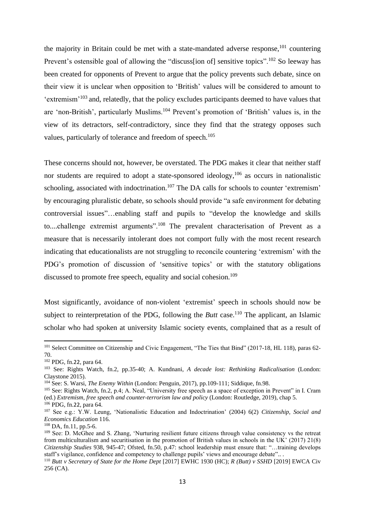<span id="page-12-0"></span>the majority in Britain could be met with a state-mandated adverse response, $101$  countering Prevent's ostensible goal of allowing the "discuss [ion of] sensitive topics".<sup>102</sup> So leeway has been created for opponents of Prevent to argue that the policy prevents such debate, since on their view it is unclear when opposition to 'British' values will be considered to amount to 'extremism'<sup>103</sup> and, relatedly, that the policy excludes participants deemed to have values that are 'non-British', particularly Muslims.<sup>104</sup> Prevent's promotion of 'British' values is, in the view of its detractors, self-contradictory, since they find that the strategy opposes such values, particularly of tolerance and freedom of speech.<sup>105</sup>

These concerns should not, however, be overstated. The PDG makes it clear that neither staff nor students are required to adopt a state-sponsored ideology,<sup>106</sup> as occurs in nationalistic schooling, associated with indoctrination.<sup>107</sup> The DA calls for schools to counter 'extremism' by encouraging pluralistic debate, so schools should provide "a safe environment for debating controversial issues"…enabling staff and pupils to "develop the knowledge and skills to....challenge extremist arguments".<sup>108</sup> The prevalent characterisation of Prevent as a measure that is necessarily intolerant does not comport fully with the most recent research indicating that educationalists are not struggling to reconcile countering 'extremism' with the PDG's promotion of discussion of 'sensitive topics' or with the statutory obligations discussed to promote free speech, equality and social cohesion.<sup>109</sup>

Most significantly, avoidance of non-violent 'extremist' speech in schools should now be subject to reinterpretation of the PDG, following the *Butt* case.<sup>110</sup> The applicant, an Islamic scholar who had spoken at university Islamic society events, complained that as a result of

<sup>&</sup>lt;sup>101</sup> Select Committee on Citizenship and Civic Engagement, "The Ties that Bind" (2017-18, HL 118), paras 62-70.

<sup>102</sup> PDG, fn.[22](#page-2-0), para 64.

<sup>103</sup> See: Rights Watch, fn.2, pp.35-40; A. Kundnani, *A decade lost: Rethinking Radicalisation* (London: Claystone 2015).

<sup>104</sup> See: S. Warsi, *The Enemy Within* (London: Penguin, 2017), pp.109-111; Siddique, fn[.98.](#page-11-1)

<sup>105</sup> See: Rights Watch, fn.2, p.4; A. Neal, "University free speech as a space of exception in Prevent" in I. Cram (ed.) *Extremism, free speech and counter-terrorism law and policy* (London: Routledge, 2019), chap 5.

<sup>106</sup> PDG, fn.[22](#page-2-0), para 64.

<sup>107</sup> See e.g.: Y.W. Leung, 'Nationalistic Education and Indoctrination' (2004) 6(2) *Citizenship, Social and Economics Education* 116.

<sup>108</sup> DA, f[n.11,](#page-1-2) pp.5-6.

<sup>&</sup>lt;sup>109</sup> See: D. McGhee and S. Zhang, 'Nurturing resilient future citizens through value consistency vs the retreat from multiculturalism and securitisation in the promotion of British values in schools in the UK' (2017) 21(8) *Citizenship Studies* 938, 945-47; Ofsted, f[n.50,](#page-6-2) p.47: school leadership must ensure that: "…training develops staff's vigilance, confidence and competency to challenge pupils' views and encourage debate"...

<sup>110</sup> *Butt v Secretary of State for the Home Dept* [2017] EWHC 1930 (HC); *R (Butt) v SSHD* [2019] EWCA Civ 256 (CA).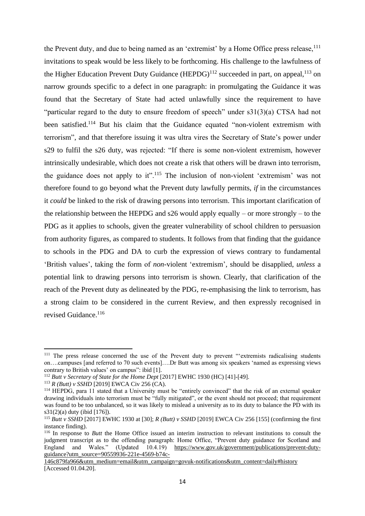the Prevent duty, and due to being named as an 'extremist' by a Home Office press release,  $\frac{1}{11}$ invitations to speak would be less likely to be forthcoming. His challenge to the lawfulness of the Higher Education Prevent Duty Guidance  $(HEPDG)^{112}$  succeeded in part, on appeal,<sup>113</sup> on narrow grounds specific to a defect in one paragraph: in promulgating the Guidance it was found that the Secretary of State had acted unlawfully since the requirement to have "particular regard to the duty to ensure freedom of speech" under s31(3)(a) CTSA had not been satisfied.<sup>114</sup> But his claim that the Guidance equated "non-violent extremism with terrorism", and that therefore issuing it was ultra vires the Secretary of State's power under s29 to fulfil the s26 duty, was rejected: "If there is some non-violent extremism, however intrinsically undesirable, which does not create a risk that others will be drawn into terrorism, the guidance does not apply to it".<sup>115</sup> The inclusion of non-violent 'extremism' was not therefore found to go beyond what the Prevent duty lawfully permits, *if* in the circumstances it *could* be linked to the risk of drawing persons into terrorism. This important clarification of the relationship between the HEPDG and  $s26$  would apply equally – or more strongly – to the PDG as it applies to schools, given the greater vulnerability of school children to persuasion from authority figures, as compared to students. It follows from that finding that the guidance to schools in the PDG and DA to curb the expression of views contrary to fundamental 'British values', taking the form of *non*-violent 'extremism', should be disapplied, *unless* a potential link to drawing persons into terrorism is shown. Clearly, that clarification of the reach of the Prevent duty as delineated by the PDG, re-emphasising the link to terrorism, has a strong claim to be considered in the current Review, and then expressly recognised in revised Guidance.<sup>116</sup>

<sup>113</sup> *R (Butt) v SSHD* [2019] EWCA Civ 256 (CA).

<sup>&</sup>lt;sup>111</sup> The press release concerned the use of the Prevent duty to prevent "'extremists radicalising students on….campuses [and referred to 70 such events]….Dr Butt was among six speakers 'named as expressing views contrary to British values' on campus": ibid [1].

<sup>112</sup> *Butt v Secretary of State for the Home Dept* [2017] EWHC 1930 (HC) [41]-[49].

<sup>114</sup> HEPDG, para 11 stated that a University must be "entirely convinced" that the risk of an external speaker drawing individuals into terrorism must be "fully mitigated", or the event should not proceed; that requirement was found to be too unbalanced, so it was likely to mislead a university as to its duty to balance the PD with its s31(2)(a) duty (ibid [176]).

<sup>115</sup> *Butt v SSHD* [2017] EWHC 1930 at [30]; *R (Butt) v SSHD* [2019] EWCA Civ 256 [155] (confirming the first instance finding).

<sup>&</sup>lt;sup>116</sup> In response to *Butt* the Home Office issued an interim instruction to relevant institutions to consult the judgment transcript as to the offending paragraph: Home Office, "Prevent duty guidance for Scotland and England and Wales." (Updated 10.4.19) [https://www.gov.uk/government/publications/prevent-duty](https://www.gov.uk/government/publications/prevent-duty-guidance?utm_source=90559936-221e-4569-b74c-146c879fa966&utm_medium=email&utm_campaign=govuk-notifications&utm_content=daily#history)[guidance?utm\\_source=90559936-221e-4569-b74c-](https://www.gov.uk/government/publications/prevent-duty-guidance?utm_source=90559936-221e-4569-b74c-146c879fa966&utm_medium=email&utm_campaign=govuk-notifications&utm_content=daily#history)

[<sup>146</sup>c879fa966&utm\\_medium=email&utm\\_campaign=govuk-notifications&utm\\_content=daily#history](https://www.gov.uk/government/publications/prevent-duty-guidance?utm_source=90559936-221e-4569-b74c-146c879fa966&utm_medium=email&utm_campaign=govuk-notifications&utm_content=daily#history) [Accessed 01.04.20].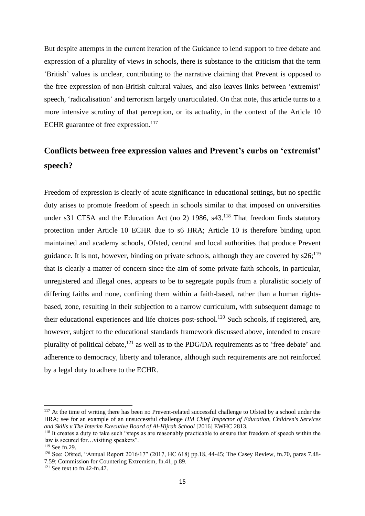But despite attempts in the current iteration of the Guidance to lend support to free debate and expression of a plurality of views in schools, there is substance to the criticism that the term 'British' values is unclear, contributing to the narrative claiming that Prevent is opposed to the free expression of non-British cultural values, and also leaves links between 'extremist' speech, 'radicalisation' and terrorism largely unarticulated. On that note, this article turns to a more intensive scrutiny of that perception, or its actuality, in the context of the Article 10 ECHR guarantee of free expression.<sup>117</sup>

## **Conflicts between free expression values and Prevent's curbs on 'extremist' speech?**

Freedom of expression is clearly of acute significance in educational settings, but no specific duty arises to promote freedom of speech in schools similar to that imposed on universities under s31 CTSA and the Education Act (no 2) 1986,  $s43$ .<sup>118</sup> That freedom finds statutory protection under Article 10 ECHR due to s6 HRA; Article 10 is therefore binding upon maintained and academy schools, Ofsted, central and local authorities that produce Prevent guidance. It is not, however, binding on private schools, although they are covered by  $s26$ ;<sup>119</sup> that is clearly a matter of concern since the aim of some private faith schools, in particular, unregistered and illegal ones, appears to be to segregate pupils from a pluralistic society of differing faiths and none, confining them within a faith-based, rather than a human rightsbased, zone, resulting in their subjection to a narrow curriculum, with subsequent damage to their educational experiences and life choices post-school.<sup>120</sup> Such schools, if registered, are, however, subject to the educational standards framework discussed above, intended to ensure plurality of political debate,<sup>121</sup> as well as to the PDG/DA requirements as to 'free debate' and adherence to democracy, liberty and tolerance, although such requirements are not reinforced by a legal duty to adhere to the ECHR.

<sup>&</sup>lt;sup>117</sup> At the time of writing there has been no Prevent-related successful challenge to Ofsted by a school under the HRA; see for an example of an unsuccessful challenge *HM Chief Inspector of Education, Children's Services and Skills v The Interim Executive Board of Al-Hijrah School* [2016] EWHC 2813.

<sup>118</sup> It creates a duty to take such "steps as are reasonably practicable to ensure that freedom of speech within the law is secured for…visiting speakers".

<sup>119</sup> See fn[.29.](#page-3-1)

<sup>120</sup> See: Ofsted, "Annual Report 2016/17" (2017, HC 618) pp.18, 44-45; The Casey Review, f[n.70,](#page-8-1) paras 7.48- 7.59; Commission for Countering Extremism, fn[.41,](#page-4-0) p.89.

<sup>&</sup>lt;sup>121</sup> See text to fn[.42-](#page-5-0)fn[.47.](#page-5-1)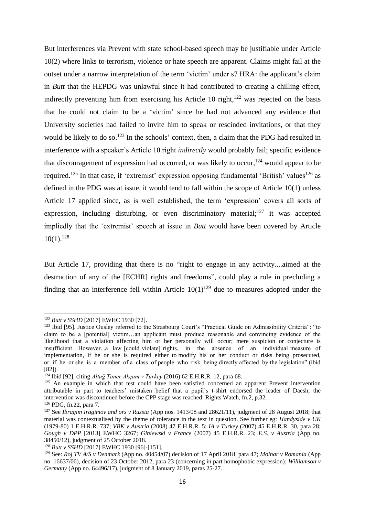But interferences via Prevent with state school-based speech may be justifiable under Article 10(2) where links to terrorism, violence or hate speech are apparent. Claims might fail at the outset under a narrow interpretation of the term 'victim' under s7 HRA: the applicant's claim in *Butt* that the HEPDG was unlawful since it had contributed to creating a chilling effect, indirectly preventing him from exercising his Article 10 right,<sup>122</sup> was rejected on the basis that he could not claim to be a 'victim' since he had not advanced any evidence that University societies had failed to invite him to speak or rescinded invitations, or that they would be likely to do so.<sup>123</sup> In the schools' context, then, a claim that the PDG had resulted in interference with a speaker's Article 10 right *indirectly* would probably fail; specific evidence that discouragement of expression had occurred, or was likely to occur,<sup>124</sup> would appear to be required.<sup>125</sup> In that case, if 'extremist' expression opposing fundamental 'British' values<sup>126</sup> as defined in the PDG was at issue, it would tend to fall within the scope of Article 10(1) unless Article 17 applied since, as is well established, the term 'expression' covers all sorts of expression, including disturbing, or even discriminatory material; $^{127}$  it was accepted impliedly that the 'extremist' speech at issue in *Butt* would have been covered by Article 10(1). 128

But Article 17, providing that there is no "right to engage in any activity....aimed at the destruction of any of the [ECHR] rights and freedoms", could play a role in precluding a finding that an interference fell within Article  $10(1)^{129}$  due to measures adopted under the

<sup>122</sup> *Butt v SSHD* [2017] EWHC 1930 [72].

<sup>&</sup>lt;sup>123</sup> Ibid [95]. Justice Ousley referred to the Strasbourg Court's "Practical Guide on Admissibility Criteria": "to claim to be a [potential] victim…an applicant must produce reasonable and convincing evidence of the likelihood that a violation affecting him or her personally will occur; mere suspicion or conjecture is insufficient…However...a law [could violate] rights, in the absence of an individual measure of implementation, if he or she is required either to modify his or her conduct or risks being prosecuted, or if he or she is a member of a class of people who risk being directly affected by the legislation" (ibid [82]).

<sup>124</sup> Ibid [92], citing *Altuğ Taner Akçam v Turkey* (2016) 62 E.H.R.R. 12, para 68.

<sup>&</sup>lt;sup>125</sup> An example in which that test could have been satisfied concerned an apparent Prevent intervention attributable in part to teachers' mistaken belief that a pupil's t-shirt endorsed the leader of Daesh; the intervention was discontinued before the CPP stage was reached: Rights Watch, fn.2, p.32.

<sup>126</sup> PDG, fn.[22](#page-2-0), para 7.

<sup>127</sup> See *Ibragim Iragimov and ors v Russia* (App nos. 1413/08 and 28621/11), judgment of 28 August 2018; that material was contextualised by the theme of tolerance in the text in question. See further eg: *Handyside v UK*  (1979-80) 1 E.H.R.R. 737; *VBK v Austria* (2008) 47 E.H.R.R. 5; *IA v Turkey* (2007) 45 E.H.R.R. 30, para 28; *Gough v DPP* [2013] EWHC 3267; *Giniewski v France* (2007) 45 E.H.R.R. 23; *E.S. v Austria* (App no. [38450/12\)](https://hudoc.echr.coe.int/eng#{"appno":["38450/12"]}), judgment of 25 October 2018.

<sup>128</sup> *Butt v SSHD* [2017] EWHC 1930 [96]-[151].

<sup>129</sup> See: *Roj TV A/S v Denmark* (App no. 40454/07) decision of 17 April 2018, para 47; *Molnar v Romania* (App no. 16637/06), decision of 23 October 2012, para 23 (concerning in part homophobic expression); *Williamson v Germany* (App no. 64496/17), judgment of 8 January 2019, paras 25-27.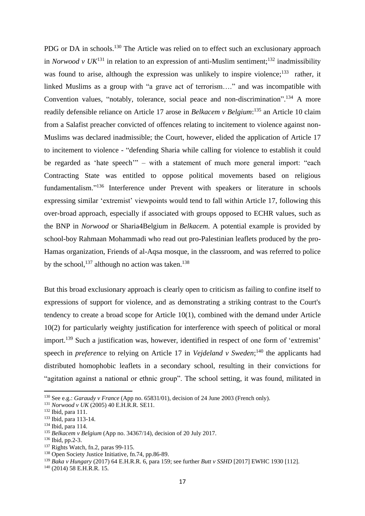PDG or DA in schools.<sup>130</sup> The Article was relied on to effect such an exclusionary approach in *Norwood v UK*<sup>131</sup> in relation to an expression of anti-Muslim sentiment;<sup>132</sup> inadmissibility was found to arise, although the expression was unlikely to inspire violence;<sup>133</sup> rather, it linked Muslims as a group with "a grave act of terrorism…." and was incompatible with Convention values, "notably, tolerance, social peace and non-discrimination".<sup>134</sup> A more readily defensible reliance on Article 17 arose in *Belkacem v Belgium*: <sup>135</sup> an Article 10 claim from a Salafist preacher convicted of offences relating to incitement to violence against non-Muslims was declared inadmissible; the Court, however, elided the application of Article 17 to incitement to violence - "defending Sharia while calling for violence to establish it could be regarded as 'hate speech'" – with a statement of much more general import: "each Contracting State was entitled to oppose political movements based on religious fundamentalism."<sup>136</sup> Interference under Prevent with speakers or literature in schools expressing similar 'extremist' viewpoints would tend to fall within Article 17, following this over-broad approach, especially if associated with groups opposed to ECHR values, such as the BNP in *Norwood* or Sharia4Belgium in *Belkacem*. A potential example is provided by school-boy Rahmaan Mohammadi who read out pro-Palestinian leaflets produced by the pro-Hamas organization, Friends of al-Aqsa mosque, in the classroom, and was referred to police by the school,<sup>137</sup> although no action was taken.<sup>138</sup>

<span id="page-16-0"></span>But this broad exclusionary approach is clearly open to criticism as failing to confine itself to expressions of support for violence, and as demonstrating a striking contrast to the Court's tendency to create a broad scope for Article 10(1), combined with the demand under Article 10(2) for particularly weighty justification for interference with speech of political or moral import.<sup>139</sup> Such a justification was, however, identified in respect of one form of 'extremist' speech in *preference* to relying on Article 17 in *Vejdeland* v Sweden;<sup>140</sup> the applicants had distributed homophobic leaflets in a secondary school, resulting in their convictions for "agitation against a national or ethnic group". The school setting, it was found, militated in

<sup>130</sup> See e.g.: *Garaudy v France* (App no. 65831/01), decision of 24 June 2003 (French only).

<sup>131</sup> *Norwood v UK* (2005) 40 E.H.R.R. SE11.

<sup>132</sup> Ibid, para 111.

<sup>133</sup> Ibid, para 113-14.

<sup>134</sup> Ibid, para 114.

<sup>135</sup> *Belkacem v Belgium* (App no. 34367/14), decision of 20 July 2017.

<sup>136</sup> Ibid, pp.2-3.

<sup>&</sup>lt;sup>137</sup> Rights Watch, fn.2, paras 99-115.

<sup>138</sup> Open Society Justice Initiative, f[n.74,](#page-8-0) pp.86-89.

<sup>139</sup> *Baka v Hungary* (2017) 64 E.H.R.R. 6, para 159; see further *Butt v SSHD* [2017] EWHC 1930 [112].

 $140$  (2014) 58 E.H.R.R. 15.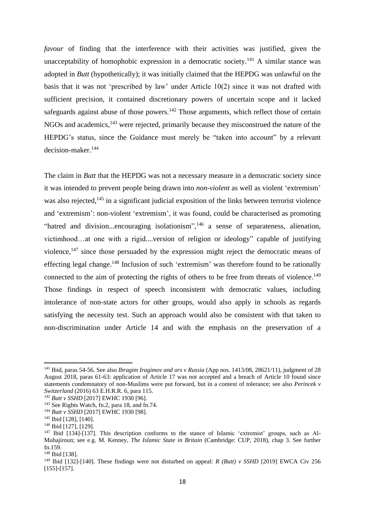*favour* of finding that the interference with their activities was justified, given the unacceptability of homophobic expression in a democratic society.<sup>141</sup> A similar stance was adopted in *Butt* (hypothetically); it was initially claimed that the HEPDG was unlawful on the basis that it was not 'prescribed by law' under Article 10(2) since it was not drafted with sufficient precision, it contained discretionary powers of uncertain scope and it lacked safeguards against abuse of those powers.<sup>142</sup> Those arguments, which reflect those of certain NGOs and academics,<sup>143</sup> were rejected, primarily because they misconstrued the nature of the HEPDG's status, since the Guidance must merely be "taken into account" by a relevant decision-maker.<sup>144</sup>

<span id="page-17-0"></span>The claim in *Butt* that the HEPDG was not a necessary measure in a democratic society since it was intended to prevent people being drawn into *non-violent* as well as violent 'extremism' was also rejected,<sup>145</sup> in a significant judicial exposition of the links between terrorist violence and 'extremism': non-violent 'extremism', it was found, could be characterised as promoting "hatred and division...encouraging isolationism",<sup>146</sup> a sense of separateness, alienation, victimhood…at one with a rigid....version of religion or ideology" capable of justifying violence,<sup>147</sup> since those persuaded by the expression might reject the democratic means of effecting legal change.<sup>148</sup> Inclusion of such 'extremism' was therefore found to be rationally connected to the aim of protecting the rights of others to be free from threats of violence.<sup>149</sup> Those findings in respect of speech inconsistent with democratic values, including intolerance of non-state actors for other groups, would also apply in schools as regards satisfying the necessity test. Such an approach would also be consistent with that taken to non-discrimination under Article 14 and with the emphasis on the preservation of a

<sup>141</sup> Ibid, paras 54-56. See also *Ibragim Iragimov and ors v Russia* (App nos. 1413/08, 28621/11), judgment of 28 August 2018, paras 61-63: application of Article 17 was not accepted and a breach of Article 10 found since statements condemnatory of non-Muslims were put forward, but in a context of tolerance; see also *Perincek v Switzerland* [\(2016\) 63 E.H.R.R. 6,](https://uk.westlaw.com/Document/I1B5EEBC03FA811E6AB95BF4C0A72A4D7/View/FullText.html?navigationPath=Search%2Fv1%2Fresults%2Fnavigation%2Fi0ad6ad3d0000016ea67ef276adfa6d85%3FNav%3DUK-CASES%26fragmentIdentifier%3DI7BD05BA03F6811E6AEDB9FA565603094%26parentRank%3D0%26startIndex%3D1%26contextData%3D%2528sc.Search%2529%26transitionType%3DSearchItem&listSource=Search&listPageSource=b41a6dafba4fabb756c79f596cf1117d&list=UK-CASES&rank=1&sessionScopeId=0e909f74bfa392ea85f708913121af3dbc51e31cdb111bb5600f9c9821aeca30&originationContext=Search%20Result&transitionType=SearchItem&contextData=%28sc.Search%29) para 115.

<sup>142</sup> *Butt v SSHD* [2017] EWHC 1930 [96].

<sup>&</sup>lt;sup>143</sup> See Rights Watch, fn.2, para 18, and fn[.74.](#page-8-0)

<sup>144</sup> *Butt v SSHD* [2017] EWHC 1930 [98].

<sup>145</sup> Ibid [128], [140].

<sup>146</sup> Ibid [127], [129].

<sup>147</sup> Ibid [134]-[137]. This description conforms to the stance of Islamic 'extremist' groups, such as Al-Muhajiroun; see e.g. M. Kenney, *The Islamic State in Britain* (Cambridge: CUP, 2018), chap 3. See further fn[.159.](#page-19-0)

<sup>148</sup> Ibid [138].

<sup>149</sup> Ibid [132]-[140]. These findings were not disturbed on appeal: *R (Butt) v SSHD* [2019] EWCA Civ 256 [155]-[157].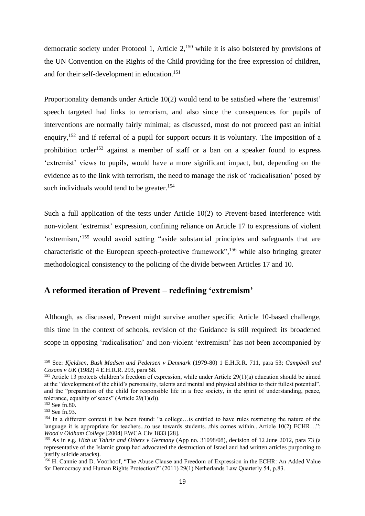democratic society under Protocol 1, Article  $2<sup>,150</sup>$  while it is also bolstered by provisions of the UN Convention on the Rights of the Child providing for the free expression of children, and for their self-development in education. 151

Proportionality demands under Article 10(2) would tend to be satisfied where the 'extremist' speech targeted had links to terrorism, and also since the consequences for pupils of interventions are normally fairly minimal; as discussed, most do not proceed past an initial enquiry,<sup>152</sup> and if referral of a pupil for support occurs it is voluntary. The imposition of a prohibition order<sup>153</sup> against a member of staff or a ban on a speaker found to express 'extremist' views to pupils, would have a more significant impact, but, depending on the evidence as to the link with terrorism, the need to manage the risk of 'radicalisation' posed by such individuals would tend to be greater.<sup>154</sup>

Such a full application of the tests under Article 10(2) to Prevent-based interference with non-violent 'extremist' expression, confining reliance on Article 17 to expressions of violent 'extremism,'<sup>155</sup> would avoid setting "aside substantial principles and safeguards that are characteristic of the European speech-protective framework",<sup>156</sup> while also bringing greater methodological consistency to the policing of the divide between Articles 17 and 10.

#### **A reformed iteration of Prevent – redefining 'extremism'**

Although, as discussed, Prevent might survive another specific Article 10-based challenge, this time in the context of schools, revision of the Guidance is still required: its broadened scope in opposing 'radicalisation' and non-violent 'extremism' has not been accompanied by

<sup>150</sup> See: *Kjeldsen, Busk Madsen and Pedersen v Denmark* (1979-80) 1 E.H.R.R. 711, para 53; *Campbell and Cosans v UK* (1982) 4 E.H.R.R. 293, para 58.

<sup>&</sup>lt;sup>151</sup> Article 13 protects children's freedom of expression, while under Article 29(1)(a) education should be aimed at the "development of the child's personality, talents and mental and physical abilities to their fullest potential", and the "preparation of the child for responsible life in a free society, in the spirit of understanding, peace, tolerance, equality of sexes" (Article  $29(1)(d)$ ).

<sup>152</sup> See fn[.80.](#page-9-2)

<sup>153</sup> See fn[.93.](#page-10-0)

<sup>154</sup> In a different context it has been found: "a college...is entitled to have rules restricting the nature of the language it is appropriate for teachers...to use towards students...this comes within...Article 10(2) ECHR…": *Wood v Oldham College* [2004] EWCA Civ 1833 [28].

<sup>155</sup> As in e.g. *Hizb ut Tahrir and Others v Germany* (App no. 31098/08), decision of 12 June 2012, para 73 (a representative of the Islamic group had advocated the destruction of Israel and had written articles purporting to justify suicide attacks).

<sup>&</sup>lt;sup>156</sup> H. Cannie and D. Voorhoof, "The Abuse Clause and Freedom of Expression in the ECHR: An Added Value for Democracy and Human Rights Protection?" (2011) 29(1) Netherlands Law Quarterly 54, p.83.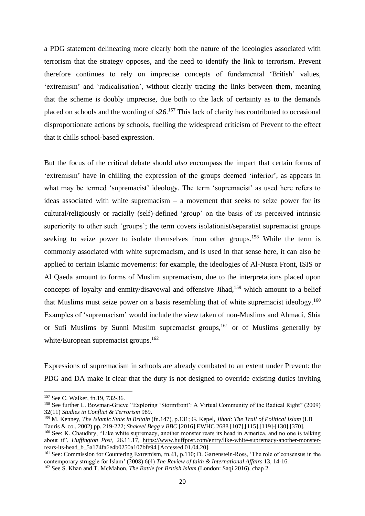a PDG statement delineating more clearly both the nature of the ideologies associated with terrorism that the strategy opposes, and the need to identify the link to terrorism. Prevent therefore continues to rely on imprecise concepts of fundamental 'British' values, 'extremism' and 'radicalisation', without clearly tracing the links between them, meaning that the scheme is doubly imprecise, due both to the lack of certainty as to the demands placed on schools and the wording of s26.<sup>157</sup> This lack of clarity has contributed to occasional disproportionate actions by schools, fuelling the widespread criticism of Prevent to the effect that it chills school-based expression.

But the focus of the critical debate should *also* encompass the impact that certain forms of 'extremism' have in chilling the expression of the groups deemed 'inferior', as appears in what may be termed 'supremacist' ideology. The term 'supremacist' as used here refers to ideas associated with white supremacism – a movement that seeks to seize power for its cultural/religiously or racially (self)-defined 'group' on the basis of its perceived intrinsic superiority to other such 'groups'; the term covers isolationist/separatist supremacist groups seeking to seize power to isolate themselves from other groups.<sup>158</sup> While the term is commonly associated with white supremacism, and is used in that sense here, it can also be applied to certain Islamic movements: for example, the ideologies of Al-Nusra Front, ISIS or Al Qaeda amount to forms of Muslim supremacism, due to the interpretations placed upon concepts of loyalty and enmity/disavowal and offensive Jihad,<sup>159</sup> which amount to a belief that Muslims must seize power on a basis resembling that of white supremacist ideology.<sup>160</sup> Examples of 'supremacism' would include the view taken of non-Muslims and Ahmadi, Shia or Sufi Muslims by Sunni Muslim supremacist groups, <sup>161</sup> or of Muslims generally by white/European supremacist groups.<sup>162</sup>

<span id="page-19-0"></span>Expressions of supremacism in schools are already combated to an extent under Prevent: the PDG and DA make it clear that the duty is not designed to override existing duties inviting

<sup>159</sup> M. Kenney, *The Islamic State in Britain* (fn[.147\)](#page-17-0), p.131; G. Kepel, *Jihad: The Trail of Political Islam* (LB Tauris & co., 2002) pp. 219-222; *Shakeel Begg v BBC* [2016] EWHC 2688 [107],[115],[119]-[130],[370]. <sup>160</sup> See: K. Chaudhry, "Like white supremacy, another monster rears its head in America, and no one is talking about it", *Huffington Post,* 26.11.17, [https://www.huffpost.com/entry/like-white-supremacy-another-monster](https://www.huffpost.com/entry/like-white-supremacy-another-monster-rears-its-head_b_5a174fa6e4b0250a107bfe94)[rears-its-head\\_b\\_5a174fa6e4b0250a107bfe94](https://www.huffpost.com/entry/like-white-supremacy-another-monster-rears-its-head_b_5a174fa6e4b0250a107bfe94) [Accessed 01.04.20].

<sup>157</sup> See C. Walker, fn[.19,](#page-2-3) 732-36.

<sup>158</sup> See further L. Bowman-Grieve "Exploring 'Stormfront': A Virtual Community of the Radical Right" (2009) 32(11) *Studies in Conflict & Terrorism* 989.

<sup>161</sup> See: Commission for Countering Extremism, f[n.41,](#page-4-0) p.110; D. Gartenstein-Ross, 'The role of consensus in the contemporary struggle for Islam' (2008) 6(4) *The Review of faith & International Affairs* 13, 14-16. <sup>162</sup> See S. Khan and T. McMahon, *The Battle for British Islam* (London: Saqi 2016), chap 2.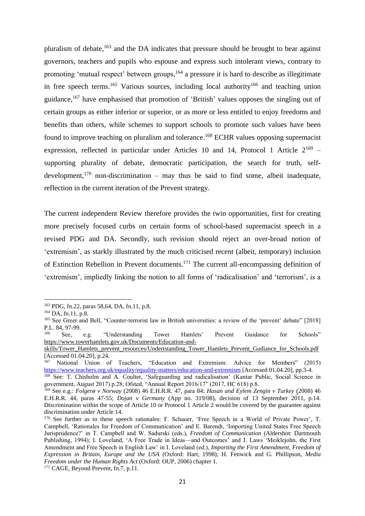pluralism of debate,<sup>163</sup> and the DA indicates that pressure should be brought to bear against governors, teachers and pupils who espouse and express such intolerant views, contrary to promoting 'mutual respect' between groups,<sup>164</sup> a pressure it is hard to describe as illegitimate in free speech terms.<sup>165</sup> Various sources, including local authority<sup>166</sup> and teaching union guidance,<sup>167</sup> have emphasised that promotion of 'British' values opposes the singling out of certain groups as either inferior or superior, or as more or less entitled to enjoy freedoms and benefits than others, while schemes to support schools to promote such values have been found to improve teaching on pluralism and tolerance.<sup>168</sup> ECHR values opposing supremacist expression, reflected in particular under Articles 10 and 14, Protocol 1 Article  $2^{169}$  – supporting plurality of debate, democratic participation, the search for truth, selfdevelopment,<sup>170</sup> non-discrimination – may thus be said to find some, albeit inadequate, reflection in the current iteration of the Prevent strategy.

The current independent Review therefore provides the twin opportunities, first for creating more precisely focused curbs on certain forms of school-based supremacist speech in a revised PDG and DA. Secondly, such revision should reject an over-broad notion of 'extremism', as starkly illustrated by the much criticised recent (albeit, temporary) inclusion of Extinction Rebellion in Prevent documents.<sup>171</sup> The current all-encompassing definition of 'extremism', impliedly linking the notion to all forms of 'radicalisation' and 'terrorism', is a

<sup>167</sup> National Union of Teachers, "Education and Extremism: Advice for Members" (2015) <https://www.teachers.org.uk/equality/equality-matters/education-and-extremism> [Accessed 01.04.20], pp.3-4.

<sup>163</sup> PDG, fn[.22,](#page-2-0) paras 58,64, DA, fn[.11,](#page-1-2) p.8.

 $164$  DA, f[n.11,](#page-1-2) p.8.

<sup>&</sup>lt;sup>165</sup> See Greer and Bell, "Counter-terrorist law in British universities: a review of the 'prevent' debate" [2018] P.L. 84, 97-99.

<sup>166</sup> See, e.g. "Understanding Tower Hamlets' Prevent Guidance for Schools" [https://www.towerhamlets.gov.uk/Documents/Education-and-](https://www.towerhamlets.gov.uk/Documents/Education-and-skills/Tower_Hamlets_prevent_resources/Undertstanding_Tower_Hamlets_Prevent_Gudiance_for_Schools.pdf)

[skills/Tower\\_Hamlets\\_prevent\\_resources/Undertstanding\\_Tower\\_Hamlets\\_Prevent\\_Gudiance\\_for\\_Schools.pdf](https://www.towerhamlets.gov.uk/Documents/Education-and-skills/Tower_Hamlets_prevent_resources/Undertstanding_Tower_Hamlets_Prevent_Gudiance_for_Schools.pdf) [Accessed 01.04.20], p.24.

<sup>&</sup>lt;sup>168</sup> See: T. Chisholm and A. Coulter, 'Safeguarding and radicalisation' (Kantar Public, Social Science in government, August 2017) p.28; Ofsted, "Annual Report 2016/17" (2017, HC 618) p.8.

<sup>169</sup> See e.g.: *Folgerø v Norway* (2008) 46 E.H.R.R. 47, para 84; *Hasan and Eylem Zengin v Turkey* (2008) 46 E.H.R.R. 44, paras 47-55; *Dojan v Germany* (App no. 319/08), decision of 13 September 2011, p.14. Discrimination within the scope of Article 10 or Protocol 1 Article 2 would be covered by the guarantee against discrimination under Article 14.

<sup>170</sup> See further as to these speech rationales: F. Schauer, 'Free Speech in a World of Private Power', T. Campbell, 'Rationales for Freedom of Communication' and E. Barendt, 'Importing United States Free Speech Jurisprudence?' in T. Campbell and W. Sadurski (eds.), *Freedom of Communication* (Aldershot: Dartmouth Publishing, 1994); I. Loveland, 'A Free Trade in Ideas—and Outcomes' and J. Laws 'Meiklejohn, the First Amendment and Free Speech in English Law' in I. Loveland (ed.), *Importing the First Amendment, Freedom of Expression in Britain, Europe and the USA* (Oxford: Hart, 1998); H. Fenwick and G. Phillipson, *Media Freedom under the Human Rights Act* (Oxford: OUP, 2006) chapter 1. <sup>171</sup> CAGE, Beyond Prevent, fn[.7,](#page-1-3) p.11.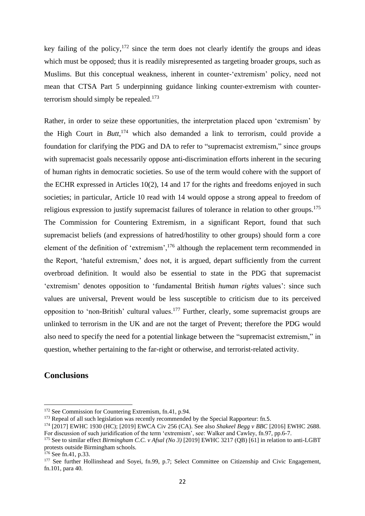key failing of the policy,  $172$  since the term does not clearly identify the groups and ideas which must be opposed; thus it is readily misrepresented as targeting broader groups, such as Muslims. But this conceptual weakness, inherent in counter-'extremism' policy, need not mean that CTSA Part 5 underpinning guidance linking counter-extremism with counterterrorism should simply be repealed. $173$ 

Rather, in order to seize these opportunities, the interpretation placed upon 'extremism' by the High Court in *Butt,*<sup>174</sup> which also demanded a link to terrorism, could provide a foundation for clarifying the PDG and DA to refer to "supremacist extremism," since groups with supremacist goals necessarily oppose anti-discrimination efforts inherent in the securing of human rights in democratic societies. So use of the term would cohere with the support of the ECHR expressed in Articles 10(2), 14 and 17 for the rights and freedoms enjoyed in such societies; in particular, Article 10 read with 14 would oppose a strong appeal to freedom of religious expression to justify supremacist failures of tolerance in relation to other groups.<sup>175</sup> The Commission for Countering Extremism, in a significant Report, found that such supremacist beliefs (and expressions of hatred/hostility to other groups) should form a core element of the definition of 'extremism',<sup>176</sup> although the replacement term recommended in the Report, 'hateful extremism,' does not, it is argued, depart sufficiently from the current overbroad definition. It would also be essential to state in the PDG that supremacist 'extremism' denotes opposition to 'fundamental British *human rights* values': since such values are universal, Prevent would be less susceptible to criticism due to its perceived opposition to 'non-British' cultural values.<sup>177</sup> Further, clearly, some supremacist groups are unlinked to terrorism in the UK and are not the target of Prevent; therefore the PDG would also need to specify the need for a potential linkage between the "supremacist extremism," in question, whether pertaining to the far-right or otherwise, and terrorist-related activity.

#### **Conclusions**

<sup>172</sup> See Commission for Countering Extremism, f[n.41,](#page-4-0) p.94.

<sup>&</sup>lt;sup>173</sup> Repeal of all such legislation was recently recommended by the Special Rapporteur: fn.[5](#page-0-2).

<sup>174</sup> [2017] EWHC 1930 (HC); [2019] EWCA Civ 256 (CA). See also *Shakeel Begg v BBC* [2016] EWHC 2688. For discussion of such juridification of the term 'extremism', see: Walker and Cawley, fn[.97,](#page-11-2) pp.6-7.

<sup>175</sup> See to similar effect *Birmingham C.C. v Afsal (No 3)* [2019] EWHC 3217 (QB) [61] in relation to anti-LGBT protests outside Birmingham schools.

<sup>176</sup> See fn[.41,](#page-4-0) p.33.

<sup>&</sup>lt;sup>177</sup> See further Hollinshead and Soyei, fn[.99,](#page-11-3) p.7; Select Committee on Citizenship and Civic Engagement, fn[.101,](#page-12-0) para 40.